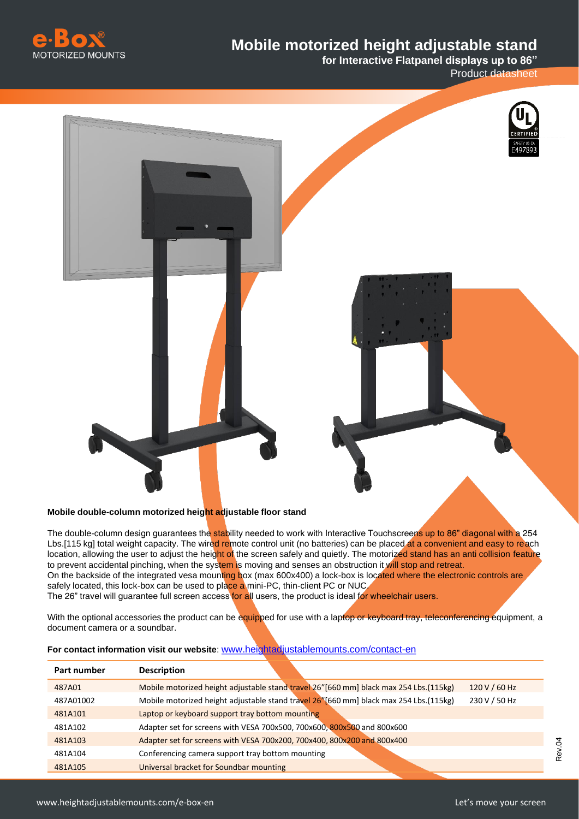

## **Mobile motorized height adjustable stand**

**for Interactive Flatpanel displays up to 86"**  Product datasheet





The double-column design guarantees the stability needed to work with Interactive Touchscreens up to 86" diagonal with a 254 Lbs.[115 kg] total weight capacity. The wired remote control unit (no batteries) can be placed at a convenient and easy to reach location, allowing the user to adjust the height of the screen safely and quietly. The motorized stand has an anti collision feature to prevent accidental pinching, when the system is moving and senses an obstruction it will stop and retreat. On the backside of the integrated vesa mounting box (max 600x400) a lock-box is located where the electronic controls are safely located, this lock-box can be used to place a mini-PC, thin-client PC or NUC. The 26" travel will guarantee full screen access for all users, the product is ideal for wheelchair users.

With the optional accessories the product can be equipped for use with a laptop or keyboard tray, teleconferencing equipment, a document camera or a soundbar.

| For contact information visit our website: www.heightadiustablemounts.com/contact-en |  |
|--------------------------------------------------------------------------------------|--|
|                                                                                      |  |

| Part number | <b>Description</b>                                                                      |               |
|-------------|-----------------------------------------------------------------------------------------|---------------|
| 487A01      | Mobile motorized height adjustable stand travel 26" [660 mm] black max 254 Lbs. (115kg) | 120 V / 60 Hz |
| 487A01002   | Mobile motorized height adjustable stand travel 26" [660 mm] black max 254 Lbs. (115kg) | 230 V / 50 Hz |
| 481A101     | Laptop or keyboard support tray bottom mounting                                         |               |
| 481A102     | Adapter set for screens with VESA 700x500, 700x600, 800x500 and 800x600                 |               |
| 481A103     | Adapter set for screens with VESA 700x200, 700x400, 800x200 and 800x400                 |               |
| 481A104     | Conferencing camera support tray bottom mounting                                        |               |
| 481A105     | Universal bracket for Soundbar mounting                                                 |               |